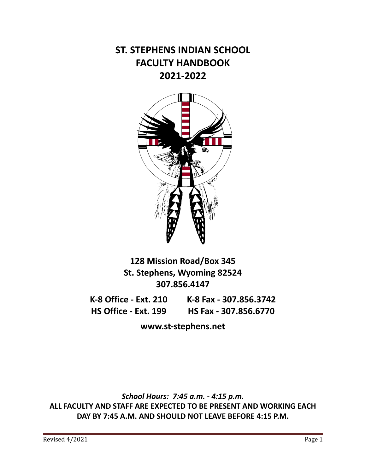### **ST. STEPHENS INDIAN SCHOOL FACULTY HANDBOOK 2021-2022**



### **128 Mission Road/Box 345 St. Stephens, Wyoming 82524 307.856.4147**

**K-8 Office - Ext. 210 K-8 Fax - 307.856.3742 HS Office - Ext. 199 HS Fax - 307.856.6770**

**www.st-stephens.net**

*School Hours: 7:45 a.m. - 4:15 p.m.* **ALL FACULTY AND STAFF ARE EXPECTED TO BE PRESENT AND WORKING EACH DAY BY 7:45 A.M. AND SHOULD NOT LEAVE BEFORE 4:15 P.M.**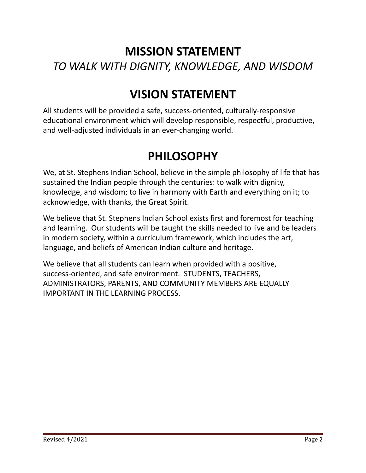# **MISSION STATEMENT** *TO WALK WITH DIGNITY, KNOWLEDGE, AND WISDOM*

# **VISION STATEMENT**

All students will be provided a safe, success-oriented, culturally-responsive educational environment which will develop responsible, respectful, productive, and well-adjusted individuals in an ever-changing world.

# **PHILOSOPHY**

We, at St. Stephens Indian School, believe in the simple philosophy of life that has sustained the Indian people through the centuries: to walk with dignity, knowledge, and wisdom; to live in harmony with Earth and everything on it; to acknowledge, with thanks, the Great Spirit.

We believe that St. Stephens Indian School exists first and foremost for teaching and learning. Our students will be taught the skills needed to live and be leaders in modern society, within a curriculum framework, which includes the art, language, and beliefs of American Indian culture and heritage.

We believe that all students can learn when provided with a positive, success-oriented, and safe environment. STUDENTS, TEACHERS, ADMINISTRATORS, PARENTS, AND COMMUNITY MEMBERS ARE EQUALLY IMPORTANT IN THE LEARNING PROCESS.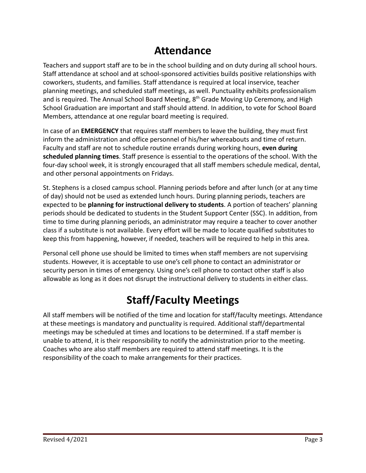### **Attendance**

Teachers and support staff are to be in the school building and on duty during all school hours. Staff attendance at school and at school-sponsored activities builds positive relationships with coworkers, students, and families. Staff attendance is required at local inservice, teacher planning meetings, and scheduled staff meetings, as well. Punctuality exhibits professionalism and is required. The Annual School Board Meeting, 8<sup>th</sup> Grade Moving Up Ceremony, and High School Graduation are important and staff should attend. In addition, to vote for School Board Members, attendance at one regular board meeting is required.

In case of an **EMERGENCY** that requires staff members to leave the building, they must first inform the administration and office personnel of his/her whereabouts and time of return. Faculty and staff are not to schedule routine errands during working hours, **even during scheduled planning times**. Staff presence is essential to the operations of the school. With the four-day school week, it is strongly encouraged that all staff members schedule medical, dental, and other personal appointments on Fridays.

St. Stephens is a closed campus school. Planning periods before and after lunch (or at any time of day) should not be used as extended lunch hours. During planning periods, teachers are expected to be **planning for instructional delivery to students**. A portion of teachers' planning periods should be dedicated to students in the Student Support Center (SSC). In addition, from time to time during planning periods, an administrator may require a teacher to cover another class if a substitute is not available. Every effort will be made to locate qualified substitutes to keep this from happening, however, if needed, teachers will be required to help in this area.

Personal cell phone use should be limited to times when staff members are not supervising students. However, it is acceptable to use one's cell phone to contact an administrator or security person in times of emergency. Using one's cell phone to contact other staff is also allowable as long as it does not disrupt the instructional delivery to students in either class.

# **Staff/Faculty Meetings**

All staff members will be notified of the time and location for staff/faculty meetings. Attendance at these meetings is mandatory and punctuality is required. Additional staff/departmental meetings may be scheduled at times and locations to be determined. If a staff member is unable to attend, it is their responsibility to notify the administration prior to the meeting. Coaches who are also staff members are required to attend staff meetings. It is the responsibility of the coach to make arrangements for their practices.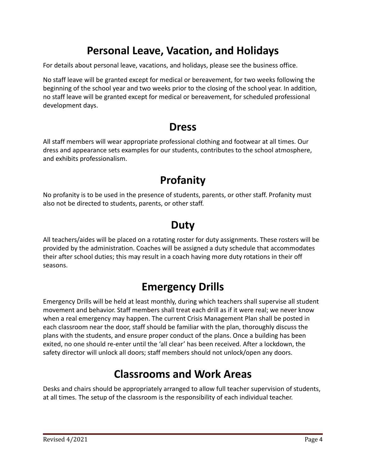### **Personal Leave, Vacation, and Holidays**

For details about personal leave, vacations, and holidays, please see the business office.

No staff leave will be granted except for medical or bereavement, for two weeks following the beginning of the school year and two weeks prior to the closing of the school year. In addition, no staff leave will be granted except for medical or bereavement, for scheduled professional development days.

### **Dress**

All staff members will wear appropriate professional clothing and footwear at all times. Our dress and appearance sets examples for our students, contributes to the school atmosphere, and exhibits professionalism.

### **Profanity**

No profanity is to be used in the presence of students, parents, or other staff. Profanity must also not be directed to students, parents, or other staff.

## **Duty**

All teachers/aides will be placed on a rotating roster for duty assignments. These rosters will be provided by the administration. Coaches will be assigned a duty schedule that accommodates their after school duties; this may result in a coach having more duty rotations in their off seasons.

### **Emergency Drills**

Emergency Drills will be held at least monthly, during which teachers shall supervise all student movement and behavior. Staff members shall treat each drill as if it were real; we never know when a real emergency may happen. The current Crisis Management Plan shall be posted in each classroom near the door, staff should be familiar with the plan, thoroughly discuss the plans with the students, and ensure proper conduct of the plans. Once a building has been exited, no one should re-enter until the 'all clear' has been received. After a lockdown, the safety director will unlock all doors; staff members should not unlock/open any doors.

### **Classrooms and Work Areas**

Desks and chairs should be appropriately arranged to allow full teacher supervision of students, at all times. The setup of the classroom is the responsibility of each individual teacher.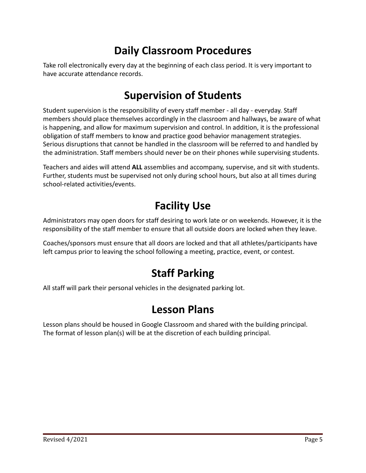## **Daily Classroom Procedures**

Take roll electronically every day at the beginning of each class period. It is very important to have accurate attendance records.

## **Supervision of Students**

Student supervision is the responsibility of every staff member - all day - everyday. Staff members should place themselves accordingly in the classroom and hallways, be aware of what is happening, and allow for maximum supervision and control. In addition, it is the professional obligation of staff members to know and practice good behavior management strategies. Serious disruptions that cannot be handled in the classroom will be referred to and handled by the administration. Staff members should never be on their phones while supervising students.

Teachers and aides will attend **ALL** assemblies and accompany, supervise, and sit with students. Further, students must be supervised not only during school hours, but also at all times during school-related activities/events.

### **Facility Use**

Administrators may open doors for staff desiring to work late or on weekends. However, it is the responsibility of the staff member to ensure that all outside doors are locked when they leave.

Coaches/sponsors must ensure that all doors are locked and that all athletes/participants have left campus prior to leaving the school following a meeting, practice, event, or contest.

# **Staff Parking**

All staff will park their personal vehicles in the designated parking lot.

### **Lesson Plans**

Lesson plans should be housed in Google Classroom and shared with the building principal. The format of lesson plan(s) will be at the discretion of each building principal.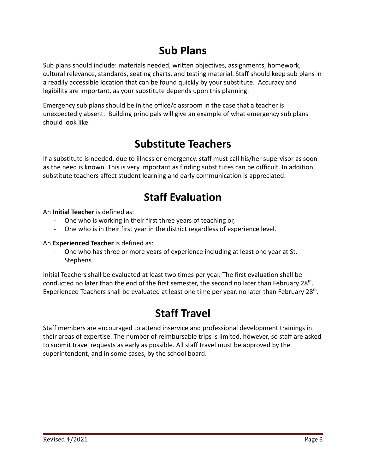## **Sub Plans**

Sub plans should include: materials needed, written objectives, assignments, homework, cultural relevance, standards, seating charts, and testing material. Staff should keep sub plans in a readily accessible location that can be found quickly by your substitute. Accuracy and legibility are important, as your substitute depends upon this planning.

Emergency sub plans should be in the office/classroom in the case that a teacher is unexpectedly absent. Building principals will give an example of what emergency sub plans should look like.

### **Substitute Teachers**

If a substitute is needed, due to illness or emergency, staff must call his/her supervisor as soon as the need is known. This is very important as finding substitutes can be difficult. In addition, substitute teachers affect student learning and early communication is appreciated.

# **Staff Evaluation**

An **Initial Teacher** is defined as:

- One who is working in their first three years of teaching or,
- One who is in their first year in the district regardless of experience level.

#### An **Experienced Teacher** is defined as:

One who has three or more years of experience including at least one year at St. Stephens.

Initial Teachers shall be evaluated at least two times per year. The first evaluation shall be conducted no later than the end of the first semester, the second no later than February 28<sup>th</sup>. Experienced Teachers shall be evaluated at least one time per year, no later than February 28<sup>th</sup>.

### **Staff Travel**

Staff members are encouraged to attend inservice and professional development trainings in their areas of expertise. The number of reimbursable trips is limited, however, so staff are asked to submit travel requests as early as possible. All staff travel must be approved by the superintendent, and in some cases, by the school board.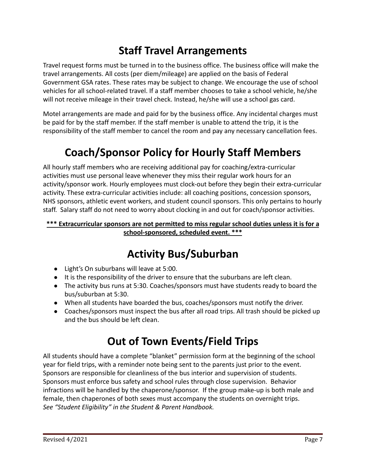## **Staff Travel Arrangements**

Travel request forms must be turned in to the business office. The business office will make the travel arrangements. All costs (per diem/mileage) are applied on the basis of Federal Government GSA rates. These rates may be subject to change. We encourage the use of school vehicles for all school-related travel. If a staff member chooses to take a school vehicle, he/she will not receive mileage in their travel check. Instead, he/she will use a school gas card.

Motel arrangements are made and paid for by the business office. Any incidental charges must be paid for by the staff member. If the staff member is unable to attend the trip, it is the responsibility of the staff member to cancel the room and pay any necessary cancellation fees.

# **Coach/Sponsor Policy for Hourly Staff Members**

All hourly staff members who are receiving additional pay for coaching/extra-curricular activities must use personal leave whenever they miss their regular work hours for an activity/sponsor work. Hourly employees must clock-out before they begin their extra-curricular activity. These extra-curricular activities include: all coaching positions, concession sponsors, NHS sponsors, athletic event workers, and student council sponsors. This only pertains to hourly staff. Salary staff do not need to worry about clocking in and out for coach/sponsor activities.

#### **\*\*\* Extracurricular sponsors are not permitted to miss regular school duties unless it is for a school-sponsored, scheduled event. \*\*\***

## **Activity Bus/Suburban**

- Light's On suburbans will leave at 5:00.
- It is the responsibility of the driver to ensure that the suburbans are left clean.
- The activity bus runs at 5:30. Coaches/sponsors must have students ready to board the bus/suburban at 5:30.
- When all students have boarded the bus, coaches/sponsors must notify the driver.
- Coaches/sponsors must inspect the bus after all road trips. All trash should be picked up and the bus should be left clean.

# **Out of Town Events/Field Trips**

All students should have a complete "blanket" permission form at the beginning of the school year for field trips, with a reminder note being sent to the parents just prior to the event. Sponsors are responsible for cleanliness of the bus interior and supervision of students. Sponsors must enforce bus safety and school rules through close supervision. Behavior infractions will be handled by the chaperone/sponsor. If the group make-up is both male and female, then chaperones of both sexes must accompany the students on overnight trips. *See "Student Eligibility" in the Student & Parent Handbook.*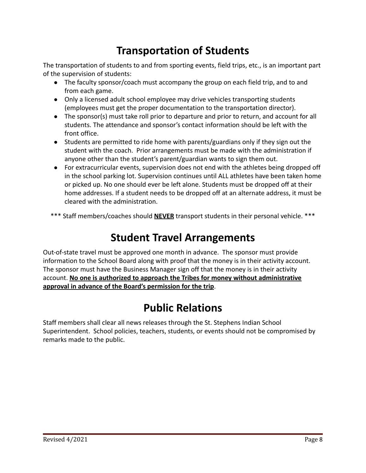### **Transportation of Students**

The transportation of students to and from sporting events, field trips, etc., is an important part of the supervision of students:

- The faculty sponsor/coach must accompany the group on each field trip, and to and from each game.
- Only a licensed adult school employee may drive vehicles transporting students (employees must get the proper documentation to the transportation director).
- The sponsor(s) must take roll prior to departure and prior to return, and account for all students. The attendance and sponsor's contact information should be left with the front office.
- Students are permitted to ride home with parents/guardians only if they sign out the student with the coach. Prior arrangements must be made with the administration if anyone other than the student's parent/guardian wants to sign them out.
- For extracurricular events, supervision does not end with the athletes being dropped off in the school parking lot. Supervision continues until ALL athletes have been taken home or picked up. No one should ever be left alone. Students must be dropped off at their home addresses. If a student needs to be dropped off at an alternate address, it must be cleared with the administration.
- \*\*\* Staff members/coaches should **NEVER** transport students in their personal vehicle. \*\*\*

### **Student Travel Arrangements**

Out-of-state travel must be approved one month in advance. The sponsor must provide information to the School Board along with proof that the money is in their activity account. The sponsor must have the Business Manager sign off that the money is in their activity account. **No one is authorized to approach the Tribes for money without administrative approval in advance of the Board's permission for the trip**.

### **Public Relations**

Staff members shall clear all news releases through the St. Stephens Indian School Superintendent. School policies, teachers, students, or events should not be compromised by remarks made to the public.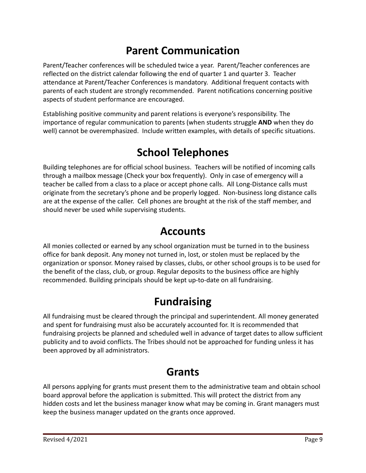### **Parent Communication**

Parent/Teacher conferences will be scheduled twice a year. Parent/Teacher conferences are reflected on the district calendar following the end of quarter 1 and quarter 3. Teacher attendance at Parent/Teacher Conferences is mandatory. Additional frequent contacts with parents of each student are strongly recommended. Parent notifications concerning positive aspects of student performance are encouraged.

Establishing positive community and parent relations is everyone's responsibility. The importance of regular communication to parents (when students struggle **AND** when they do well) cannot be overemphasized. Include written examples, with details of specific situations.

### **School Telephones**

Building telephones are for official school business. Teachers will be notified of incoming calls through a mailbox message (Check your box frequently). Only in case of emergency will a teacher be called from a class to a place or accept phone calls. All Long-Distance calls must originate from the secretary's phone and be properly logged. Non-business long distance calls are at the expense of the caller. Cell phones are brought at the risk of the staff member, and should never be used while supervising students.

### **Accounts**

All monies collected or earned by any school organization must be turned in to the business office for bank deposit. Any money not turned in, lost, or stolen must be replaced by the organization or sponsor. Money raised by classes, clubs, or other school groups is to be used for the benefit of the class, club, or group. Regular deposits to the business office are highly recommended. Building principals should be kept up-to-date on all fundraising.

## **Fundraising**

All fundraising must be cleared through the principal and superintendent. All money generated and spent for fundraising must also be accurately accounted for. It is recommended that fundraising projects be planned and scheduled well in advance of target dates to allow sufficient publicity and to avoid conflicts. The Tribes should not be approached for funding unless it has been approved by all administrators.

### **Grants**

All persons applying for grants must present them to the administrative team and obtain school board approval before the application is submitted. This will protect the district from any hidden costs and let the business manager know what may be coming in. Grant managers must keep the business manager updated on the grants once approved.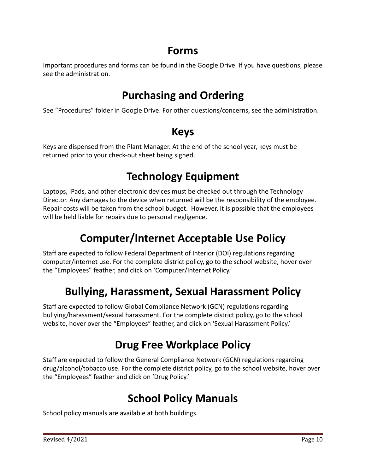## **Forms**

Important procedures and forms can be found in the Google Drive. If you have questions, please see the administration.

# **Purchasing and Ordering**

See "Procedures" folder in Google Drive. For other questions/concerns, see the administration.

### **Keys**

Keys are dispensed from the Plant Manager. At the end of the school year, keys must be returned prior to your check-out sheet being signed.

# **Technology Equipment**

Laptops, iPads, and other electronic devices must be checked out through the Technology Director. Any damages to the device when returned will be the responsibility of the employee. Repair costs will be taken from the school budget. However, it is possible that the employees will be held liable for repairs due to personal negligence.

# **Computer/Internet Acceptable Use Policy**

Staff are expected to follow Federal Department of Interior (DOI) regulations regarding computer/internet use. For the complete district policy, go to the school website, hover over the "Employees" feather, and click on 'Computer/Internet Policy.'

# **Bullying, Harassment, Sexual Harassment Policy**

Staff are expected to follow Global Compliance Network (GCN) regulations regarding bullying/harassment/sexual harassment. For the complete district policy, go to the school website, hover over the "Employees" feather, and click on 'Sexual Harassment Policy.'

## **Drug Free Workplace Policy**

Staff are expected to follow the General Compliance Network (GCN) regulations regarding drug/alcohol/tobacco use. For the complete district policy, go to the school website, hover over the "Employees" feather and click on 'Drug Policy.'

## **School Policy Manuals**

School policy manuals are available at both buildings.